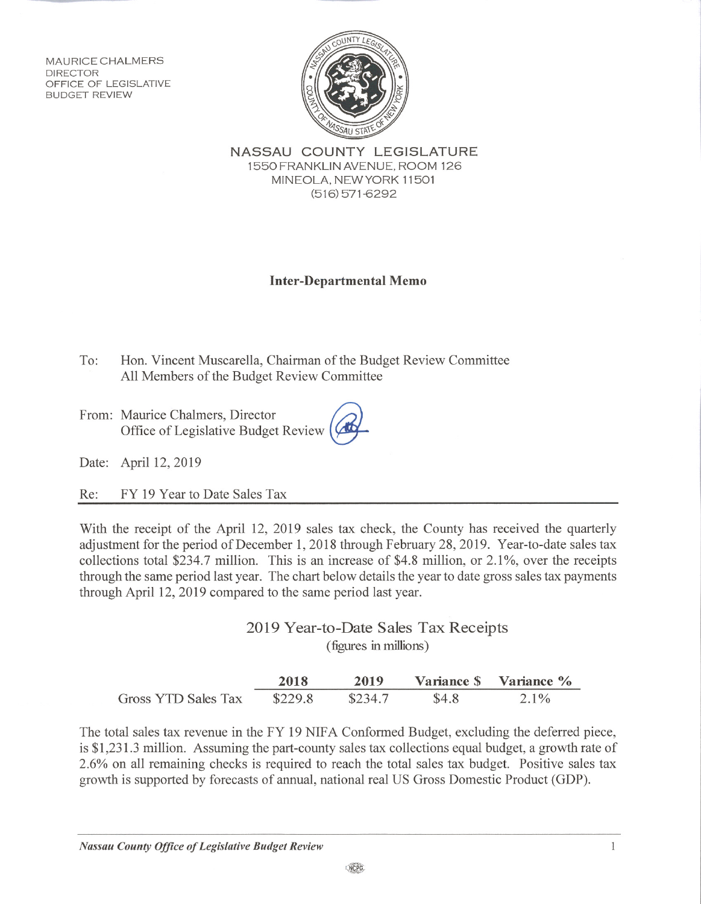**MAURICE CHALMERS DIRECTOR** OFFICE OF LEGISLATIVE **BUDGET REVIEW** 



NASSAU COUNTY LEGISLATURE 1550 FRANKLIN AVENUE, ROOM 126 MINEOLA, NEW YORK 11501  $(516)$  571-6292

## **Inter-Departmental Memo**

 $To:$ Hon. Vincent Muscarella, Chairman of the Budget Review Committee All Members of the Budget Review Committee

From: Maurice Chalmers, Director Office of Legislative Budget Review

Date: April 12, 2019

FY 19 Year to Date Sales Tax Re:

With the receipt of the April 12, 2019 sales tax check, the County has received the quarterly adjustment for the period of December 1, 2018 through February 28, 2019. Year-to-date sales tax collections total \$234.7 million. This is an increase of \$4.8 million, or 2.1%, over the receipts through the same period last year. The chart below details the year to date gross sales tax payments through April 12, 2019 compared to the same period last year.

> 2019 Year-to-Date Sales Tax Receipts (figures in millions)

|                     | 2018    | 2019    |       | Variance \$ Variance % |
|---------------------|---------|---------|-------|------------------------|
| Gross YTD Sales Tax | \$229.8 | \$234.7 | \$4.8 | $2.1\%$                |

The total sales tax revenue in the FY 19 NIFA Conformed Budget, excluding the deferred piece, is \$1,231.3 million. Assuming the part-county sales tax collections equal budget, a growth rate of 2.6% on all remaining checks is required to reach the total sales tax budget. Positive sales tax growth is supported by forecasts of annual, national real US Gross Domestic Product (GDP).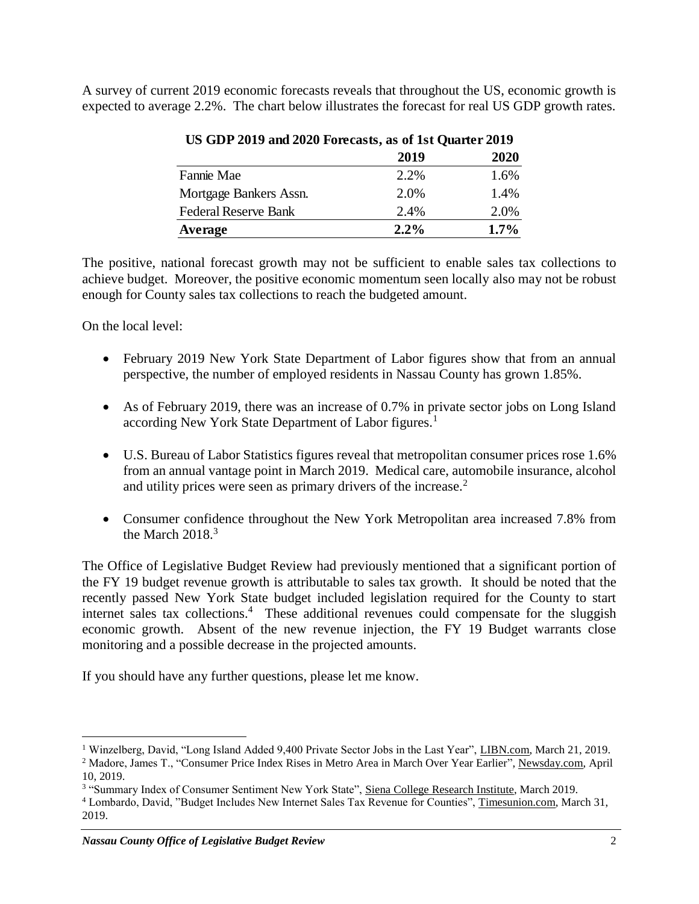A survey of current 2019 economic forecasts reveals that throughout the US, economic growth is expected to average 2.2%. The chart below illustrates the forecast for real US GDP growth rates.

|                             | 2019    | 2020    |
|-----------------------------|---------|---------|
| Fannie Mae                  | 2.2%    | 1.6%    |
| Mortgage Bankers Assn.      | 2.0%    | 1.4%    |
| <b>Federal Reserve Bank</b> | 2.4%    | 2.0%    |
| Average                     | $2.2\%$ | $1.7\%$ |

## **US GDP 2019 and 2020 Forecasts, as of 1st Quarter 2019**

The positive, national forecast growth may not be sufficient to enable sales tax collections to achieve budget. Moreover, the positive economic momentum seen locally also may not be robust enough for County sales tax collections to reach the budgeted amount.

On the local level:

 $\overline{a}$ 

- February 2019 New York State Department of Labor figures show that from an annual perspective, the number of employed residents in Nassau County has grown 1.85%.
- As of February 2019, there was an increase of 0.7% in private sector jobs on Long Island according New York State Department of Labor figures.<sup>1</sup>
- U.S. Bureau of Labor Statistics figures reveal that metropolitan consumer prices rose 1.6% from an annual vantage point in March 2019. Medical care, automobile insurance, alcohol and utility prices were seen as primary drivers of the increase.<sup>2</sup>
- Consumer confidence throughout the New York Metropolitan area increased 7.8% from the March  $2018.<sup>3</sup>$

The Office of Legislative Budget Review had previously mentioned that a significant portion of the FY 19 budget revenue growth is attributable to sales tax growth. It should be noted that the recently passed New York State budget included legislation required for the County to start internet sales tax collections.<sup>4</sup> These additional revenues could compensate for the sluggish economic growth. Absent of the new revenue injection, the FY 19 Budget warrants close monitoring and a possible decrease in the projected amounts.

If you should have any further questions, please let me know.

<sup>1</sup> Winzelberg, David, "Long Island Added 9,400 Private Sector Jobs in the Last Year", LIBN.com, March 21, 2019.

<sup>&</sup>lt;sup>2</sup> Madore, James T., "Consumer Price Index Rises in Metro Area in March Over Year Earlier", Newsday.com, April 10, 2019.

<sup>&</sup>lt;sup>3</sup> "Summary Index of Consumer Sentiment New York State", Siena College Research Institute, March 2019.

<sup>4</sup> Lombardo, David, "Budget Includes New Internet Sales Tax Revenue for Counties", Timesunion.com, March 31, 2019.